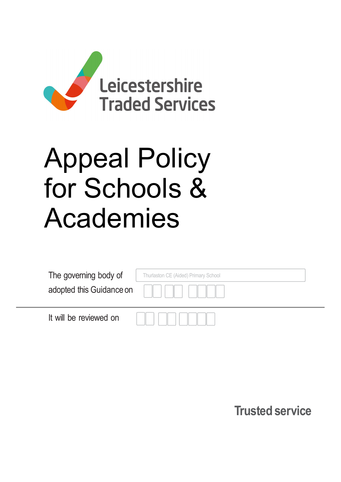

# Appeal Policy for Schools & Academies

| The governing body of    | Thurlaston CE (Aided) Primary School |  |
|--------------------------|--------------------------------------|--|
| adopted this Guidance on |                                      |  |
| It will be reviewed on   |                                      |  |

Trusted service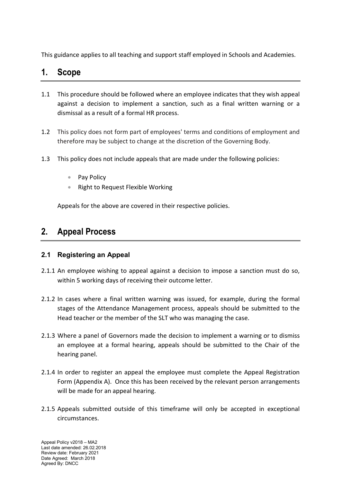This guidance applies to all teaching and support staff employed in Schools and Academies.

# 1. Scope

- 1.1 This procedure should be followed where an employee indicates that they wish appeal against a decision to implement a sanction, such as a final written warning or a dismissal as a result of a formal HR process.
- 1.2 This policy does not form part of employees' terms and conditions of employment and therefore may be subject to change at the discretion of the Governing Body.
- 1.3 This policy does not include appeals that are made under the following policies:
	- Pay Policy
	- Right to Request Flexible Working

Appeals for the above are covered in their respective policies.

# 2. Appeal Process

### 2.1 Registering an Appeal

- 2.1.1 An employee wishing to appeal against a decision to impose a sanction must do so, within 5 working days of receiving their outcome letter.
- 2.1.2 In cases where a final written warning was issued, for example, during the formal stages of the Attendance Management process, appeals should be submitted to the Head teacher or the member of the SLT who was managing the case.
- 2.1.3 Where a panel of Governors made the decision to implement a warning or to dismiss an employee at a formal hearing, appeals should be submitted to the Chair of the hearing panel.
- 2.1.4 In order to register an appeal the employee must complete the Appeal Registration Form (Appendix A). Once this has been received by the relevant person arrangements will be made for an appeal hearing.
- 2.1.5 Appeals submitted outside of this timeframe will only be accepted in exceptional circumstances.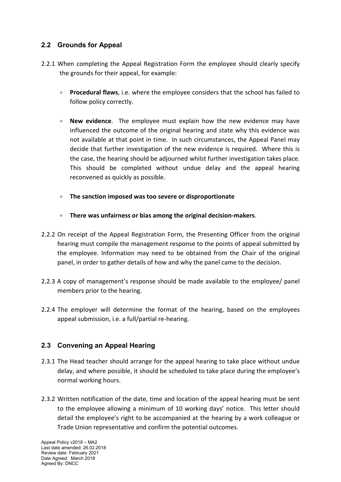## 2.2 Grounds for Appeal

- 2.2.1 When completing the Appeal Registration Form the employee should clearly specify the grounds for their appeal, for example:
	- **Procedural flaws**, i.e. where the employee considers that the school has failed to follow policy correctly.
	- New evidence. The employee must explain how the new evidence may have influenced the outcome of the original hearing and state why this evidence was not available at that point in time. In such circumstances, the Appeal Panel may decide that further investigation of the new evidence is required. Where this is the case, the hearing should be adjourned whilst further investigation takes place. This should be completed without undue delay and the appeal hearing reconvened as quickly as possible.
	- The sanction imposed was too severe or disproportionate
	- There was unfairness or bias among the original decision-makers.
- 2.2.2 On receipt of the Appeal Registration Form, the Presenting Officer from the original hearing must compile the management response to the points of appeal submitted by the employee. Information may need to be obtained from the Chair of the original panel, in order to gather details of how and why the panel came to the decision.
- 2.2.3 A copy of management's response should be made available to the employee/ panel members prior to the hearing.
- 2.2.4 The employer will determine the format of the hearing, based on the employees appeal submission, i.e. a full/partial re-hearing.

## 2.3 Convening an Appeal Hearing

- 2.3.1 The Head teacher should arrange for the appeal hearing to take place without undue delay, and where possible, it should be scheduled to take place during the employee's normal working hours.
- 2.3.2 Written notification of the date, time and location of the appeal hearing must be sent to the employee allowing a minimum of 10 working days' notice. This letter should detail the employee's right to be accompanied at the hearing by a work colleague or Trade Union representative and confirm the potential outcomes.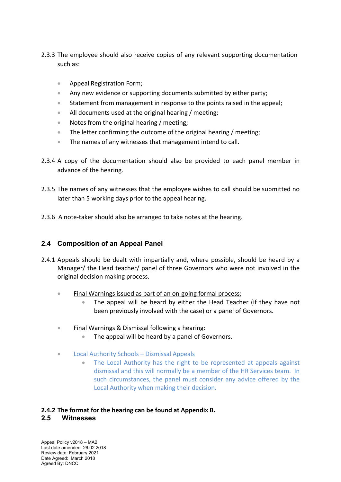- 2.3.3 The employee should also receive copies of any relevant supporting documentation such as:
	- **Appeal Registration Form;**
	- Any new evidence or supporting documents submitted by either party;
	- Statement from management in response to the points raised in the appeal;
	- All documents used at the original hearing / meeting;
	- Notes from the original hearing / meeting;
	- The letter confirming the outcome of the original hearing / meeting;
	- The names of any witnesses that management intend to call.
- 2.3.4 A copy of the documentation should also be provided to each panel member in advance of the hearing.
- 2.3.5 The names of any witnesses that the employee wishes to call should be submitted no later than 5 working days prior to the appeal hearing.
- 2.3.6 A note-taker should also be arranged to take notes at the hearing.

## 2.4 Composition of an Appeal Panel

- 2.4.1 Appeals should be dealt with impartially and, where possible, should be heard by a Manager/ the Head teacher/ panel of three Governors who were not involved in the original decision making process.
	- Final Warnings issued as part of an on-going formal process:
		- The appeal will be heard by either the Head Teacher (if they have not been previously involved with the case) or a panel of Governors.
	- **Final Warnings & Dismissal following a hearing:** 
		- The appeal will be heard by a panel of Governors.
	- **Local Authority Schools Dismissal Appeals** 
		- The Local Authority has the right to be represented at appeals against dismissal and this will normally be a member of the HR Services team. In such circumstances, the panel must consider any advice offered by the Local Authority when making their decision.

#### 2.4.2 The format for the hearing can be found at Appendix B. 2.5 Witnesses

Appeal Policy v2018 – MA2 Last date amended: 26.02.2018 Review date: February 2021 Date Agreed: March 2018 Agreed By: DNCC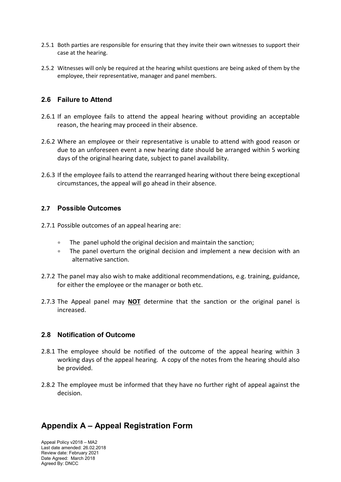- 2.5.1 Both parties are responsible for ensuring that they invite their own witnesses to support their case at the hearing.
- 2.5.2 Witnesses will only be required at the hearing whilst questions are being asked of them by the employee, their representative, manager and panel members.

#### 2.6 Failure to Attend

- 2.6.1 If an employee fails to attend the appeal hearing without providing an acceptable reason, the hearing may proceed in their absence.
- 2.6.2 Where an employee or their representative is unable to attend with good reason or due to an unforeseen event a new hearing date should be arranged within 5 working days of the original hearing date, subject to panel availability.
- 2.6.3 If the employee fails to attend the rearranged hearing without there being exceptional circumstances, the appeal will go ahead in their absence.

#### 2.7 Possible Outcomes

- 2.7.1 Possible outcomes of an appeal hearing are:
	- The panel uphold the original decision and maintain the sanction;
	- The panel overturn the original decision and implement a new decision with an alternative sanction.
- 2.7.2 The panel may also wish to make additional recommendations, e.g. training, guidance, for either the employee or the manager or both etc.
- 2.7.3 The Appeal panel may **NOT** determine that the sanction or the original panel is increased.

#### 2.8 Notification of Outcome

- 2.8.1 The employee should be notified of the outcome of the appeal hearing within 3 working days of the appeal hearing. A copy of the notes from the hearing should also be provided.
- 2.8.2 The employee must be informed that they have no further right of appeal against the decision.

## Appendix A – Appeal Registration Form

Appeal Policy v2018 – MA2 Last date amended: 26.02.2018 Review date: February 2021 Date Agreed: March 2018 Agreed By: DNCC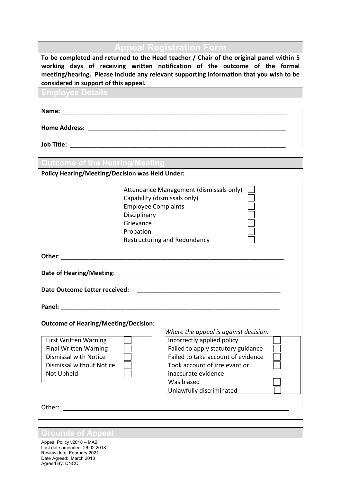ppeal Registration Form

To be completed and returned to the Head teacher / Chair of the original panel within 5 working days of receiving written notification of the outcome of the formal meeting/hearing. Please include any relevant supporting information that you wish to be considered in support of this appeal.

| Home Address: National Address: National Address: National Address: National Address: National Address: National Address: National Address: National Address: National Address: National Address: National Address: National A<br>Outcome of the Hearing/Meeting <b>Common Street</b><br><b>Policy Hearing/Meeting/Decision was Held Under:</b><br>Attendance Management (dismissals only)<br>Capability (dismissals only)<br><b>Employee Complaints</b><br>Disciplinary<br>Grievance<br>Probation<br>Restructuring and Redundancy<br><u> 1989 - Johann Harry Harry Harry Harry Harry Harry Harry Harry Harry Harry Harry Harry Harry Harry Harry Harry</u><br><b>Outcome of Hearing/Meeting/Decision:</b><br>Where the appeal is against decision:<br>Incorrectly applied policy<br><b>First Written Warning</b><br>Failed to apply statutory guidance<br><b>Final Written Warning</b><br>Failed to take account of evidence<br><b>Dismissal with Notice</b><br><b>Dismissal without Notice</b><br>Took account of irrelevant or<br>inaccurate evidence<br>Not Upheld<br>Was biased<br>Unlawfully discriminated |                               |  |  |  |  |
|------------------------------------------------------------------------------------------------------------------------------------------------------------------------------------------------------------------------------------------------------------------------------------------------------------------------------------------------------------------------------------------------------------------------------------------------------------------------------------------------------------------------------------------------------------------------------------------------------------------------------------------------------------------------------------------------------------------------------------------------------------------------------------------------------------------------------------------------------------------------------------------------------------------------------------------------------------------------------------------------------------------------------------------------------------------------------------------------------------------|-------------------------------|--|--|--|--|
|                                                                                                                                                                                                                                                                                                                                                                                                                                                                                                                                                                                                                                                                                                                                                                                                                                                                                                                                                                                                                                                                                                                  |                               |  |  |  |  |
|                                                                                                                                                                                                                                                                                                                                                                                                                                                                                                                                                                                                                                                                                                                                                                                                                                                                                                                                                                                                                                                                                                                  |                               |  |  |  |  |
|                                                                                                                                                                                                                                                                                                                                                                                                                                                                                                                                                                                                                                                                                                                                                                                                                                                                                                                                                                                                                                                                                                                  |                               |  |  |  |  |
|                                                                                                                                                                                                                                                                                                                                                                                                                                                                                                                                                                                                                                                                                                                                                                                                                                                                                                                                                                                                                                                                                                                  |                               |  |  |  |  |
|                                                                                                                                                                                                                                                                                                                                                                                                                                                                                                                                                                                                                                                                                                                                                                                                                                                                                                                                                                                                                                                                                                                  |                               |  |  |  |  |
|                                                                                                                                                                                                                                                                                                                                                                                                                                                                                                                                                                                                                                                                                                                                                                                                                                                                                                                                                                                                                                                                                                                  |                               |  |  |  |  |
|                                                                                                                                                                                                                                                                                                                                                                                                                                                                                                                                                                                                                                                                                                                                                                                                                                                                                                                                                                                                                                                                                                                  |                               |  |  |  |  |
|                                                                                                                                                                                                                                                                                                                                                                                                                                                                                                                                                                                                                                                                                                                                                                                                                                                                                                                                                                                                                                                                                                                  |                               |  |  |  |  |
|                                                                                                                                                                                                                                                                                                                                                                                                                                                                                                                                                                                                                                                                                                                                                                                                                                                                                                                                                                                                                                                                                                                  |                               |  |  |  |  |
|                                                                                                                                                                                                                                                                                                                                                                                                                                                                                                                                                                                                                                                                                                                                                                                                                                                                                                                                                                                                                                                                                                                  |                               |  |  |  |  |
|                                                                                                                                                                                                                                                                                                                                                                                                                                                                                                                                                                                                                                                                                                                                                                                                                                                                                                                                                                                                                                                                                                                  |                               |  |  |  |  |
|                                                                                                                                                                                                                                                                                                                                                                                                                                                                                                                                                                                                                                                                                                                                                                                                                                                                                                                                                                                                                                                                                                                  |                               |  |  |  |  |
|                                                                                                                                                                                                                                                                                                                                                                                                                                                                                                                                                                                                                                                                                                                                                                                                                                                                                                                                                                                                                                                                                                                  |                               |  |  |  |  |
|                                                                                                                                                                                                                                                                                                                                                                                                                                                                                                                                                                                                                                                                                                                                                                                                                                                                                                                                                                                                                                                                                                                  |                               |  |  |  |  |
|                                                                                                                                                                                                                                                                                                                                                                                                                                                                                                                                                                                                                                                                                                                                                                                                                                                                                                                                                                                                                                                                                                                  |                               |  |  |  |  |
|                                                                                                                                                                                                                                                                                                                                                                                                                                                                                                                                                                                                                                                                                                                                                                                                                                                                                                                                                                                                                                                                                                                  |                               |  |  |  |  |
|                                                                                                                                                                                                                                                                                                                                                                                                                                                                                                                                                                                                                                                                                                                                                                                                                                                                                                                                                                                                                                                                                                                  |                               |  |  |  |  |
|                                                                                                                                                                                                                                                                                                                                                                                                                                                                                                                                                                                                                                                                                                                                                                                                                                                                                                                                                                                                                                                                                                                  |                               |  |  |  |  |
|                                                                                                                                                                                                                                                                                                                                                                                                                                                                                                                                                                                                                                                                                                                                                                                                                                                                                                                                                                                                                                                                                                                  |                               |  |  |  |  |
|                                                                                                                                                                                                                                                                                                                                                                                                                                                                                                                                                                                                                                                                                                                                                                                                                                                                                                                                                                                                                                                                                                                  | Date Outcome Letter received: |  |  |  |  |
|                                                                                                                                                                                                                                                                                                                                                                                                                                                                                                                                                                                                                                                                                                                                                                                                                                                                                                                                                                                                                                                                                                                  |                               |  |  |  |  |
|                                                                                                                                                                                                                                                                                                                                                                                                                                                                                                                                                                                                                                                                                                                                                                                                                                                                                                                                                                                                                                                                                                                  |                               |  |  |  |  |
|                                                                                                                                                                                                                                                                                                                                                                                                                                                                                                                                                                                                                                                                                                                                                                                                                                                                                                                                                                                                                                                                                                                  |                               |  |  |  |  |
|                                                                                                                                                                                                                                                                                                                                                                                                                                                                                                                                                                                                                                                                                                                                                                                                                                                                                                                                                                                                                                                                                                                  |                               |  |  |  |  |
|                                                                                                                                                                                                                                                                                                                                                                                                                                                                                                                                                                                                                                                                                                                                                                                                                                                                                                                                                                                                                                                                                                                  |                               |  |  |  |  |
|                                                                                                                                                                                                                                                                                                                                                                                                                                                                                                                                                                                                                                                                                                                                                                                                                                                                                                                                                                                                                                                                                                                  |                               |  |  |  |  |
|                                                                                                                                                                                                                                                                                                                                                                                                                                                                                                                                                                                                                                                                                                                                                                                                                                                                                                                                                                                                                                                                                                                  |                               |  |  |  |  |
|                                                                                                                                                                                                                                                                                                                                                                                                                                                                                                                                                                                                                                                                                                                                                                                                                                                                                                                                                                                                                                                                                                                  |                               |  |  |  |  |
|                                                                                                                                                                                                                                                                                                                                                                                                                                                                                                                                                                                                                                                                                                                                                                                                                                                                                                                                                                                                                                                                                                                  |                               |  |  |  |  |
|                                                                                                                                                                                                                                                                                                                                                                                                                                                                                                                                                                                                                                                                                                                                                                                                                                                                                                                                                                                                                                                                                                                  |                               |  |  |  |  |
|                                                                                                                                                                                                                                                                                                                                                                                                                                                                                                                                                                                                                                                                                                                                                                                                                                                                                                                                                                                                                                                                                                                  |                               |  |  |  |  |
|                                                                                                                                                                                                                                                                                                                                                                                                                                                                                                                                                                                                                                                                                                                                                                                                                                                                                                                                                                                                                                                                                                                  |                               |  |  |  |  |
|                                                                                                                                                                                                                                                                                                                                                                                                                                                                                                                                                                                                                                                                                                                                                                                                                                                                                                                                                                                                                                                                                                                  | Other:                        |  |  |  |  |
|                                                                                                                                                                                                                                                                                                                                                                                                                                                                                                                                                                                                                                                                                                                                                                                                                                                                                                                                                                                                                                                                                                                  |                               |  |  |  |  |

#### Grounds of Appeal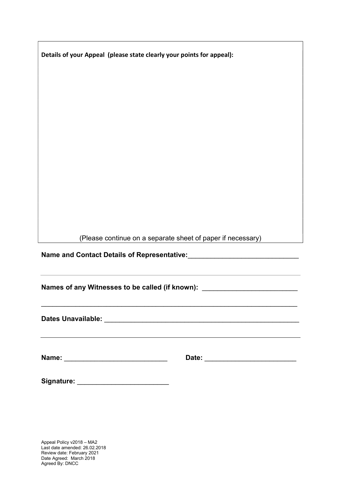| Details of your Appeal (please state clearly your points for appeal): |  |  |
|-----------------------------------------------------------------------|--|--|
|                                                                       |  |  |
|                                                                       |  |  |
|                                                                       |  |  |
|                                                                       |  |  |
|                                                                       |  |  |
|                                                                       |  |  |
|                                                                       |  |  |
|                                                                       |  |  |
|                                                                       |  |  |
|                                                                       |  |  |
|                                                                       |  |  |
| (Please continue on a separate sheet of paper if necessary)           |  |  |

Name and Contact Details of Representative:\_\_\_\_\_\_\_\_\_\_\_\_\_\_\_\_\_\_\_\_\_\_\_\_\_\_\_\_\_

Names of any Witnesses to be called (if known): \_\_\_\_\_\_\_\_\_\_\_\_\_\_\_\_\_\_\_\_\_\_\_\_\_\_\_\_\_\_\_\_

Dates Unavailable: \_\_\_\_\_\_\_\_\_\_\_\_\_\_\_\_\_\_\_\_\_\_\_\_\_\_\_\_\_\_\_\_\_\_\_\_\_\_\_\_\_\_\_\_\_\_\_\_\_\_\_

Г

| Name: | ⊿ate: |
|-------|-------|
|-------|-------|

| Signature: |  |
|------------|--|
|            |  |
|            |  |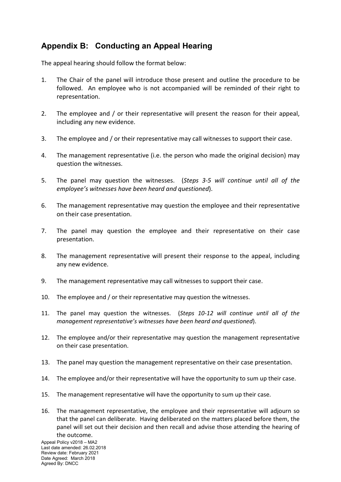# Appendix B: Conducting an Appeal Hearing

The appeal hearing should follow the format below:

- 1. The Chair of the panel will introduce those present and outline the procedure to be followed. An employee who is not accompanied will be reminded of their right to representation.
- 2. The employee and / or their representative will present the reason for their appeal, including any new evidence.
- 3. The employee and / or their representative may call witnesses to support their case.
- 4. The management representative (i.e. the person who made the original decision) may question the witnesses.
- 5. The panel may question the witnesses. (Steps 3-5 will continue until all of the employee's witnesses have been heard and questioned).
- 6. The management representative may question the employee and their representative on their case presentation.
- 7. The panel may question the employee and their representative on their case presentation.
- 8. The management representative will present their response to the appeal, including any new evidence.
- 9. The management representative may call witnesses to support their case.
- 10. The employee and / or their representative may question the witnesses.
- 11. The panel may question the witnesses. (Steps 10-12 will continue until all of the management representative's witnesses have been heard and questioned).
- 12. The employee and/or their representative may question the management representative on their case presentation.
- 13. The panel may question the management representative on their case presentation.
- 14. The employee and/or their representative will have the opportunity to sum up their case.
- 15. The management representative will have the opportunity to sum up their case.
- 16. The management representative, the employee and their representative will adjourn so that the panel can deliberate. Having deliberated on the matters placed before them, the panel will set out their decision and then recall and advise those attending the hearing of the outcome.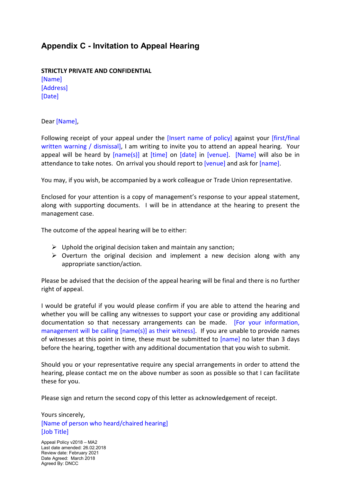## Appendix C - Invitation to Appeal Hearing

STRICTLY PRIVATE AND CONFIDENTIAL [Name] [Address] [Date]

Dear [Name],

Following receipt of your appeal under the [Insert name of policy] against your [first/final written warning / dismissal], I am writing to invite you to attend an appeal hearing. Your appeal will be heard by [name(s)] at [time] on [date] in [venue]. [Name] will also be in attendance to take notes. On arrival you should report to [venue] and ask for [name].

You may, if you wish, be accompanied by a work colleague or Trade Union representative.

Enclosed for your attention is a copy of management's response to your appeal statement, along with supporting documents. I will be in attendance at the hearing to present the management case.

The outcome of the appeal hearing will be to either:

- $\triangleright$  Uphold the original decision taken and maintain any sanction;
- $\triangleright$  Overturn the original decision and implement a new decision along with any appropriate sanction/action.

Please be advised that the decision of the appeal hearing will be final and there is no further right of appeal.

I would be grateful if you would please confirm if you are able to attend the hearing and whether you will be calling any witnesses to support your case or providing any additional documentation so that necessary arrangements can be made. [For your information, management will be calling [name(s)] as their witness]. If you are unable to provide names of witnesses at this point in time, these must be submitted to [name] no later than 3 days before the hearing, together with any additional documentation that you wish to submit.

Should you or your representative require any special arrangements in order to attend the hearing, please contact me on the above number as soon as possible so that I can facilitate these for you.

Please sign and return the second copy of this letter as acknowledgement of receipt.

Yours sincerely, [Name of person who heard/chaired hearing] [Job Title]

Appeal Policy v2018 – MA2 Last date amended: 26.02.2018 Review date: February 2021 Date Agreed: March 2018 Agreed By: DNCC